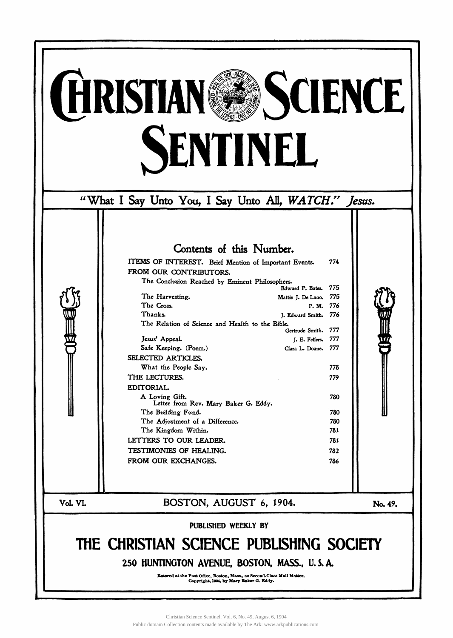